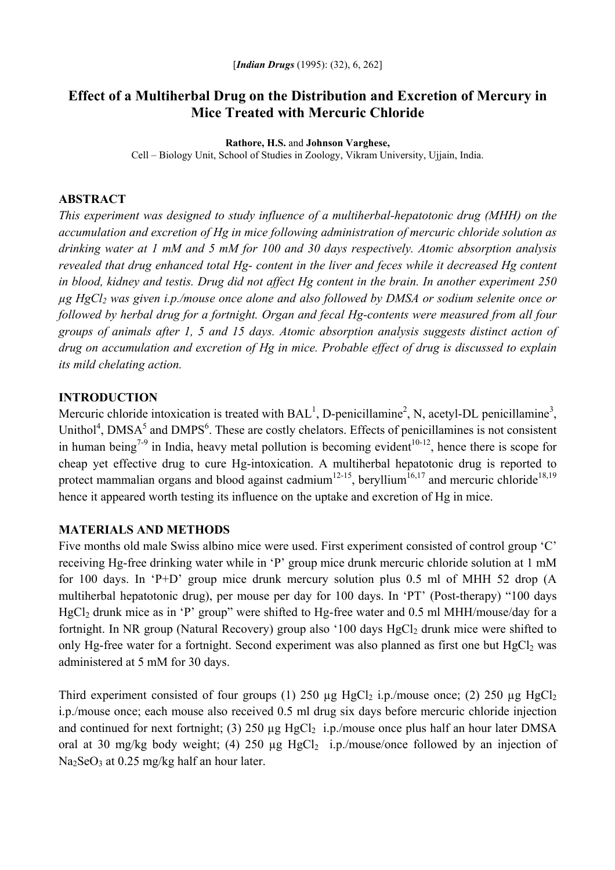# **Effect of a Multiherbal Drug on the Distribution and Excretion of Mercury in Mice Treated with Mercuric Chloride**

#### **Rathore, H.S.** and **Johnson Varghese,**

Cell – Biology Unit, School of Studies in Zoology, Vikram University, Ujjain, India.

#### **ABSTRACT**

*This experiment was designed to study influence of a multiherbal-hepatotonic drug (MHH) on the accumulation and excretion of Hg in mice following administration of mercuric chloride solution as drinking water at 1 mM and 5 mM for 100 and 30 days respectively. Atomic absorption analysis revealed that drug enhanced total Hg- content in the liver and feces while it decreased Hg content in blood, kidney and testis. Drug did not affect Hg content in the brain. In another experiment 250 µg HgCl2 was given i.p./mouse once alone and also followed by DMSA or sodium selenite once or followed by herbal drug for a fortnight. Organ and fecal Hg-contents were measured from all four groups of animals after 1, 5 and 15 days. Atomic absorption analysis suggests distinct action of drug on accumulation and excretion of Hg in mice. Probable effect of drug is discussed to explain its mild chelating action.* 

### **INTRODUCTION**

Mercuric chloride intoxication is treated with  $BAL<sup>1</sup>$ , D-penicillamine<sup>2</sup>, N, acetyl-DL penicillamine<sup>3</sup>, Unithol<sup>4</sup>, DMSA<sup>5</sup> and DMPS<sup>6</sup>. These are costly chelators. Effects of penicillamines is not consistent in human being<sup>7-9</sup> in India, heavy metal pollution is becoming evident<sup>10-12</sup>, hence there is scope for cheap yet effective drug to cure Hg-intoxication. A multiherbal hepatotonic drug is reported to protect mammalian organs and blood against cadmium<sup>12-15</sup>, beryllium<sup>16,17</sup> and mercuric chloride<sup>18,19</sup> hence it appeared worth testing its influence on the uptake and excretion of Hg in mice.

### **MATERIALS AND METHODS**

Five months old male Swiss albino mice were used. First experiment consisted of control group 'C' receiving Hg-free drinking water while in 'P' group mice drunk mercuric chloride solution at 1 mM for 100 days. In 'P+D' group mice drunk mercury solution plus 0.5 ml of MHH 52 drop (A multiherbal hepatotonic drug), per mouse per day for 100 days. In 'PT' (Post-therapy) "100 days HgCl<sub>2</sub> drunk mice as in 'P' group" were shifted to Hg-free water and 0.5 ml MHH/mouse/day for a fortnight. In NR group (Natural Recovery) group also '100 days HgCl<sub>2</sub> drunk mice were shifted to only Hg-free water for a fortnight. Second experiment was also planned as first one but  $HgCl<sub>2</sub>$  was administered at 5 mM for 30 days.

Third experiment consisted of four groups (1) 250  $\mu$ g HgCl<sub>2</sub> i.p./mouse once; (2) 250  $\mu$ g HgCl<sub>2</sub> i.p./mouse once; each mouse also received 0.5 ml drug six days before mercuric chloride injection and continued for next fortnight; (3) 250  $\mu$ g HgCl<sub>2</sub> i.p./mouse once plus half an hour later DMSA oral at 30 mg/kg body weight; (4) 250  $\mu$ g HgCl<sub>2</sub> i.p./mouse/once followed by an injection of Na<sub>2</sub>SeO<sub>3</sub> at 0.25 mg/kg half an hour later.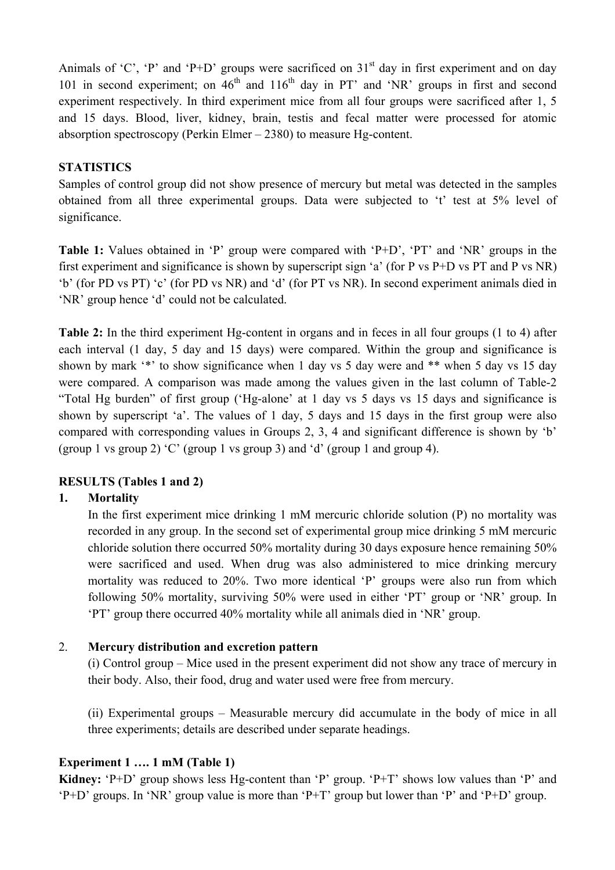Animals of 'C', 'P' and 'P+D' groups were sacrificed on  $31<sup>st</sup>$  day in first experiment and on day 101 in second experiment; on  $46<sup>th</sup>$  and  $116<sup>th</sup>$  day in PT' and 'NR' groups in first and second experiment respectively. In third experiment mice from all four groups were sacrificed after 1, 5 and 15 days. Blood, liver, kidney, brain, testis and fecal matter were processed for atomic absorption spectroscopy (Perkin Elmer – 2380) to measure Hg-content.

### **STATISTICS**

Samples of control group did not show presence of mercury but metal was detected in the samples obtained from all three experimental groups. Data were subjected to 't' test at 5% level of significance.

**Table 1:** Values obtained in 'P' group were compared with 'P+D', 'PT' and 'NR' groups in the first experiment and significance is shown by superscript sign 'a' (for P vs P+D vs PT and P vs NR) 'b' (for PD vs PT) 'c' (for PD vs NR) and 'd' (for PT vs NR). In second experiment animals died in 'NR' group hence 'd' could not be calculated.

**Table 2:** In the third experiment Hg-content in organs and in feces in all four groups (1 to 4) after each interval (1 day, 5 day and 15 days) were compared. Within the group and significance is shown by mark '\*' to show significance when 1 day vs 5 day were and \*\* when 5 day vs 15 day were compared. A comparison was made among the values given in the last column of Table-2 "Total Hg burden" of first group ('Hg-alone' at 1 day vs 5 days vs 15 days and significance is shown by superscript 'a'. The values of 1 day, 5 days and 15 days in the first group were also compared with corresponding values in Groups 2, 3, 4 and significant difference is shown by 'b' (group 1 vs group 2) 'C' (group 1 vs group 3) and 'd' (group 1 and group 4).

## **RESULTS (Tables 1 and 2)**

### **1. Mortality**

In the first experiment mice drinking 1 mM mercuric chloride solution (P) no mortality was recorded in any group. In the second set of experimental group mice drinking 5 mM mercuric chloride solution there occurred 50% mortality during 30 days exposure hence remaining 50% were sacrificed and used. When drug was also administered to mice drinking mercury mortality was reduced to 20%. Two more identical 'P' groups were also run from which following 50% mortality, surviving 50% were used in either 'PT' group or 'NR' group. In 'PT' group there occurred 40% mortality while all animals died in 'NR' group.

### 2. **Mercury distribution and excretion pattern**

(i) Control group – Mice used in the present experiment did not show any trace of mercury in their body. Also, their food, drug and water used were free from mercury.

(ii) Experimental groups – Measurable mercury did accumulate in the body of mice in all three experiments; details are described under separate headings.

### **Experiment 1 …. 1 mM (Table 1)**

**Kidney:** 'P+D' group shows less Hg-content than 'P' group. 'P+T' shows low values than 'P' and 'P+D' groups. In 'NR' group value is more than 'P+T' group but lower than 'P' and 'P+D' group.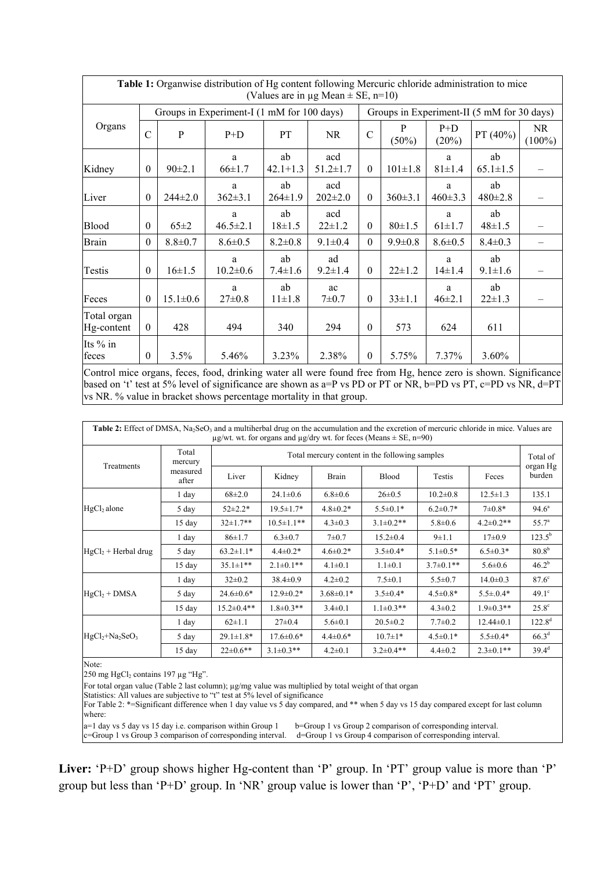| Table 1: Organwise distribution of Hg content following Mercuric chloride administration to mice<br>(Values are in $\mu$ g Mean $\pm$ SE, n=10) |                                            |                |                     |                     |                       |                                            |               |                    |                      |                 |  |
|-------------------------------------------------------------------------------------------------------------------------------------------------|--------------------------------------------|----------------|---------------------|---------------------|-----------------------|--------------------------------------------|---------------|--------------------|----------------------|-----------------|--|
|                                                                                                                                                 | Groups in Experiment-I (1 mM for 100 days) |                |                     |                     |                       | Groups in Experiment-II (5 mM for 30 days) |               |                    |                      |                 |  |
| Organs                                                                                                                                          | $\mathcal{C}$                              | P              | $P+D$               | PT                  | NR                    | $\mathcal{C}$                              | P<br>$(50\%)$ | $P+D$<br>(20%)     | PT (40%)             | NR<br>$(100\%)$ |  |
| Kidney                                                                                                                                          | $\boldsymbol{0}$                           | $90 \pm 2.1$   | a<br>$66 \pm 1.7$   | ab<br>$42.1 + 1.3$  | acd<br>$51.2 \pm 1.7$ | $\theta$                                   | $101 \pm 1.8$ | a<br>$81 \pm 1.4$  | ab<br>$65.1 \pm 1.5$ |                 |  |
| Liver                                                                                                                                           | $\theta$                                   | $244\pm2.0$    | a<br>$362 \pm 3.1$  | ab<br>$264 \pm 1.9$ | acd<br>$202\pm2.0$    | $\theta$                                   | $360 \pm 3.1$ | a<br>$460 \pm 3.3$ | ab<br>$480 \pm 2.8$  |                 |  |
| Blood                                                                                                                                           | $\theta$                                   | $65 \pm 2$     | a<br>$46.5 \pm 2.1$ | ab<br>$18 \pm 1.5$  | acd<br>$22 \pm 1.2$   | $\theta$                                   | $80 \pm 1.5$  | a<br>$61 \pm 1.7$  | ab<br>$48 \pm 1.5$   |                 |  |
| <b>Brain</b>                                                                                                                                    | $\theta$                                   | $8.8 \pm 0.7$  | $8.6 \pm 0.5$       | $8.2 \pm 0.8$       | $9.1 \pm 0.4$         | $\theta$                                   | $9.9 \pm 0.8$ | $8.6 \pm 0.5$      | $8.4 \pm 0.3$        |                 |  |
| Testis                                                                                                                                          | $\mathbf{0}$                               | $16 \pm 1.5$   | a<br>$10.2 \pm 0.6$ | ab<br>$7.4 \pm 1.6$ | ad<br>$9.2 \pm 1.4$   | $\theta$                                   | $22 \pm 1.2$  | a<br>$14 \pm 1.4$  | ab<br>$9.1 \pm 1.6$  |                 |  |
| Feces                                                                                                                                           | $\theta$                                   | $15.1 \pm 0.6$ | a<br>$27 \pm 0.8$   | ab<br>$11 \pm 1.8$  | ac<br>$7 + 0.7$       | $\theta$                                   | $33 \pm 1.1$  | a<br>$46 \pm 2.1$  | ab<br>$22 \pm 1.3$   |                 |  |
| Total organ<br>Hg-content                                                                                                                       | $\theta$                                   | 428            | 494                 | 340                 | 294                   | $\theta$                                   | 573           | 624                | 611                  |                 |  |
| Its % in<br>feces                                                                                                                               | $\theta$                                   | 3.5%           | 5.46%               | 3.23%               | 2.38%                 | $\Omega$                                   | 5.75%         | 7.37%              | 3.60%                |                 |  |

Control mice organs, feces, food, drinking water all were found free from Hg, hence zero is shown. Significance based on 't' test at 5% level of significance are shown as a=P vs PD or PT or NR, b=PD vs PT, c=PD vs NR, d=PT vs NR. % value in bracket shows percentage mortality in that group.

| Table 2: Effect of DMSA, Na <sub>2</sub> SeO <sub>3</sub> and a multiherbal drug on the accumulation and the excretion of mercuric chloride in mice. Values are<br>$\mu$ g/wt. wt. for organs and $\mu$ g/dry wt. for feces (Means $\pm$ SE, n=90) |                   |                                                |                  |                 |                  |                 |                  |                    |  |
|----------------------------------------------------------------------------------------------------------------------------------------------------------------------------------------------------------------------------------------------------|-------------------|------------------------------------------------|------------------|-----------------|------------------|-----------------|------------------|--------------------|--|
| Treatments                                                                                                                                                                                                                                         | Total<br>mercury  | Total mercury content in the following samples |                  |                 |                  |                 |                  |                    |  |
|                                                                                                                                                                                                                                                    | measured<br>after | Liver                                          | Kidney           | Brain           | <b>Blood</b>     | Testis          | Feces            | organ Hg<br>burden |  |
|                                                                                                                                                                                                                                                    | 1 day             | $68\pm2.0$                                     | $24.1 \pm 0.6$   | $6.8 \pm 0.6$   | $26 \pm 0.5$     | $10.2 \pm 0.8$  | $12.5 \pm 1.3$   | 135.1              |  |
| HgCl <sub>2</sub> alone                                                                                                                                                                                                                            | 5 day             | $52 \pm 2.2*$                                  | $19.5 \pm 1.7*$  | $4.8 \pm 0.2*$  | $5.5 \pm 0.1*$   | $6.2 \pm 0.7*$  | $7\pm0.8*$       | $94.6^{\circ}$     |  |
|                                                                                                                                                                                                                                                    | $15$ day          | $32 \pm 1.7**$                                 | $10.5 \pm 1.1**$ | $4.3 \pm 0.3$   | $3.1 \pm 0.2$ ** | $5.8 \pm 0.6$   | $4.2 \pm 0.2$ ** | $55.7^{\circ}$     |  |
|                                                                                                                                                                                                                                                    | $1$ day           | $86 \pm 1.7$                                   | $6.3 \pm 0.7$    | $7 + 0.7$       | $15.2 \pm 0.4$   | $9 \pm 1.1$     | $17\pm0.9$       | $123.5^{\rm b}$    |  |
| $HgCl2 + Herbal drug$                                                                                                                                                                                                                              | 5 day             | $63.2 \pm 1.1*$                                | $4.4 \pm 0.2*$   | $4.6 \pm 0.2*$  | $3.5 \pm 0.4*$   | $5.1 \pm 0.5*$  | $6.5 \pm 0.3*$   | $80.8^{b}$         |  |
|                                                                                                                                                                                                                                                    | 15 day            | $35.1 \pm 1**$                                 | $2.1 \pm 0.1$ ** | $4.1 \pm 0.1$   | $1.1 \pm 0.1$    | $3.7 \pm 0.1**$ | $5.6 \pm 0.6$    | $46.2^{b}$         |  |
|                                                                                                                                                                                                                                                    | 1 day             | $32 \pm 0.2$                                   | $38.4 \pm 0.9$   | $4.2 \pm 0.2$   | $7.5 \pm 0.1$    | $5.5 \pm 0.7$   | $14.0 \pm 0.3$   | $87.6^\circ$       |  |
| $HgCl2 + DMSA$                                                                                                                                                                                                                                     | 5 day             | $24.6 \pm 0.6*$                                | $12.9 \pm 0.2*$  | $3.68 \pm 0.1*$ | $3.5 \pm 0.4*$   | $4.5 \pm 0.8*$  | $5.5 \pm 0.4*$   | $49.1^\circ$       |  |
|                                                                                                                                                                                                                                                    | 15 day            | $15.2 \pm 0.4**$                               | $1.8 \pm 0.3**$  | $3.4\pm0.1$     | $1.1 \pm 0.3$ ** | $4.3 \pm 0.2$   | $1.9 \pm 0.3**$  | $25.8^\circ$       |  |
|                                                                                                                                                                                                                                                    | 1 day             | $62 \pm 1.1$                                   | $27 \pm 0.4$     | $5.6 \pm 0.1$   | $20.5 \pm 0.2$   | $7.7 \pm 0.2$   | $12.44 \pm 0.1$  | $122.8^{d}$        |  |
| $HgCl2+Na2SeO3$                                                                                                                                                                                                                                    | 5 day             | $29.1 \pm 1.8*$                                | $17.6 \pm 0.6*$  | $4.4 \pm 0.6*$  | $10.7 \pm 1*$    | $4.5 \pm 0.1*$  | $5.5 \pm 0.4*$   | $66.3^{d}$         |  |
|                                                                                                                                                                                                                                                    | $15$ day          | $22 \pm 0.6$ **                                | $3.1 \pm 0.3$ ** | $4.2 \pm 0.1$   | $3.2 \pm 0.4**$  | $4.4 \pm 0.2$   | $2.3 \pm 0.1$ ** | $39.4^d$           |  |

Note:

 $250$  mg HgCl<sub>2</sub> contains 197 µg "Hg".

For total organ value (Table 2 last column); µg/mg value was multiplied by total weight of that organ

Statistics: All values are subjective to "t" test at 5% level of significance

For Table 2: \*=Significant difference when 1 day value vs 5 day compared, and \*\* when 5 day vs 15 day compared except for last column where:

a=1 day vs 5 day vs 15 day i.e. comparison within Group 1 b=Group 1 vs Group 2 comparison of corresponding interval. c=Group 1 vs Group 3 comparison of corresponding interval. d=Group 1 vs Group 4 comparison of corresponding interval.

**Liver:** 'P+D' group shows higher Hg-content than 'P' group. In 'PT' group value is more than 'P' group but less than 'P+D' group. In 'NR' group value is lower than 'P', 'P+D' and 'PT' group.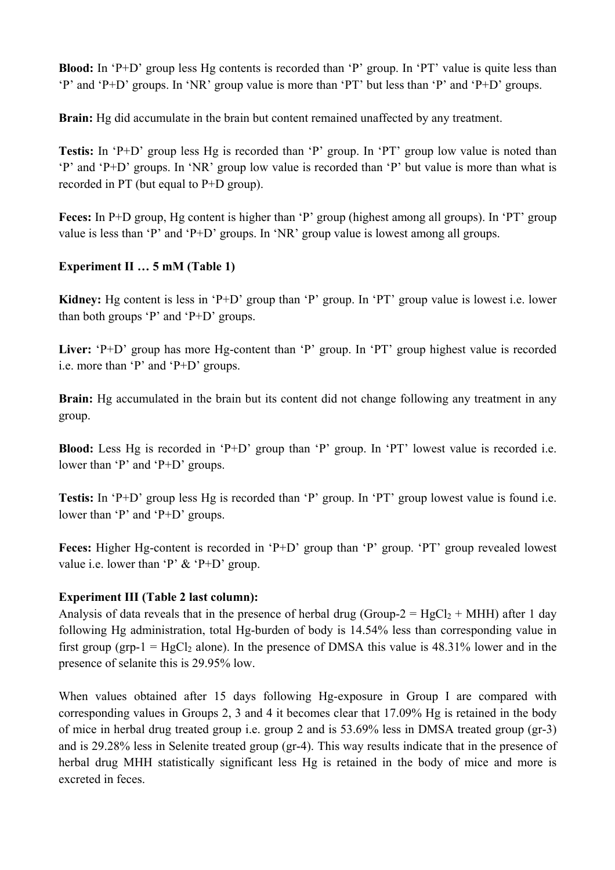**Blood:** In 'P+D' group less Hg contents is recorded than 'P' group. In 'PT' value is quite less than 'P' and 'P+D' groups. In 'NR' group value is more than 'PT' but less than 'P' and 'P+D' groups.

**Brain:** Hg did accumulate in the brain but content remained unaffected by any treatment.

**Testis:** In 'P+D' group less Hg is recorded than 'P' group. In 'PT' group low value is noted than 'P' and 'P+D' groups. In 'NR' group low value is recorded than 'P' but value is more than what is recorded in PT (but equal to P+D group).

**Feces:** In P+D group, Hg content is higher than 'P' group (highest among all groups). In 'PT' group value is less than 'P' and 'P+D' groups. In 'NR' group value is lowest among all groups.

## **Experiment II … 5 mM (Table 1)**

**Kidney:** Hg content is less in 'P+D' group than 'P' group. In 'PT' group value is lowest i.e. lower than both groups 'P' and 'P+D' groups.

Liver: 'P+D' group has more Hg-content than 'P' group. In 'PT' group highest value is recorded i.e. more than 'P' and 'P+D' groups.

**Brain:** Hg accumulated in the brain but its content did not change following any treatment in any group.

**Blood:** Less Hg is recorded in 'P+D' group than 'P' group. In 'PT' lowest value is recorded i.e. lower than 'P' and 'P+D' groups.

**Testis:** In 'P+D' group less Hg is recorded than 'P' group. In 'PT' group lowest value is found i.e. lower than 'P' and 'P+D' groups.

**Feces:** Higher Hg-content is recorded in 'P+D' group than 'P' group. 'PT' group revealed lowest value i.e. lower than 'P'  $&$  'P+D' group.

## **Experiment III (Table 2 last column):**

Analysis of data reveals that in the presence of herbal drug (Group-2 =  $HgCl_2 + MHH$ ) after 1 day following Hg administration, total Hg-burden of body is 14.54% less than corresponding value in first group (grp-1 =  $HgCl<sub>2</sub>$  alone). In the presence of DMSA this value is 48.31% lower and in the presence of selanite this is 29.95% low.

When values obtained after 15 days following Hg-exposure in Group I are compared with corresponding values in Groups 2, 3 and 4 it becomes clear that 17.09% Hg is retained in the body of mice in herbal drug treated group i.e. group 2 and is 53.69% less in DMSA treated group (gr-3) and is 29.28% less in Selenite treated group (gr-4). This way results indicate that in the presence of herbal drug MHH statistically significant less Hg is retained in the body of mice and more is excreted in feces.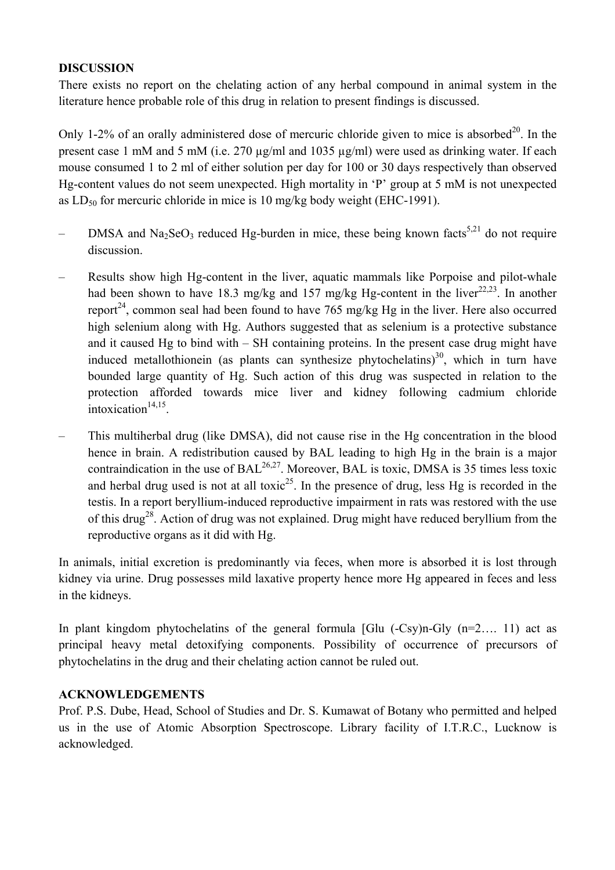### **DISCUSSION**

There exists no report on the chelating action of any herbal compound in animal system in the literature hence probable role of this drug in relation to present findings is discussed.

Only 1-2% of an orally administered dose of mercuric chloride given to mice is absorbed<sup>20</sup>. In the present case 1 mM and 5 mM (i.e. 270  $\mu$ g/ml and 1035  $\mu$ g/ml) were used as drinking water. If each mouse consumed 1 to 2 ml of either solution per day for 100 or 30 days respectively than observed Hg-content values do not seem unexpected. High mortality in 'P' group at 5 mM is not unexpected as  $LD_{50}$  for mercuric chloride in mice is 10 mg/kg body weight (EHC-1991).

- DMSA and Na<sub>2</sub>SeO<sub>3</sub> reduced Hg-burden in mice, these being known facts<sup>5,21</sup> do not require discussion.
- Results show high Hg-content in the liver, aquatic mammals like Porpoise and pilot-whale had been shown to have 18.3 mg/kg and 157 mg/kg Hg-content in the liver<sup>22,23</sup>. In another report<sup>24</sup>, common seal had been found to have 765 mg/kg Hg in the liver. Here also occurred high selenium along with Hg. Authors suggested that as selenium is a protective substance and it caused Hg to bind with – SH containing proteins. In the present case drug might have induced metallothionein (as plants can synthesize phytochelatins)<sup>30</sup>, which in turn have bounded large quantity of Hg. Such action of this drug was suspected in relation to the protection afforded towards mice liver and kidney following cadmium chloride intoxication $14,15$ .
- This multiherbal drug (like DMSA), did not cause rise in the Hg concentration in the blood hence in brain. A redistribution caused by BAL leading to high Hg in the brain is a major contraindication in the use of  $BAL^{26,27}$ . Moreover, BAL is toxic, DMSA is 35 times less toxic and herbal drug used is not at all toxic<sup>25</sup>. In the presence of drug, less Hg is recorded in the testis. In a report beryllium-induced reproductive impairment in rats was restored with the use of this drug<sup>28</sup>. Action of drug was not explained. Drug might have reduced beryllium from the reproductive organs as it did with Hg.

In animals, initial excretion is predominantly via feces, when more is absorbed it is lost through kidney via urine. Drug possesses mild laxative property hence more Hg appeared in feces and less in the kidneys.

In plant kingdom phytochelatins of the general formula  $[G]$ u (-Csy)n-Gly (n=2..., 11) act as principal heavy metal detoxifying components. Possibility of occurrence of precursors of phytochelatins in the drug and their chelating action cannot be ruled out.

### **ACKNOWLEDGEMENTS**

Prof. P.S. Dube, Head, School of Studies and Dr. S. Kumawat of Botany who permitted and helped us in the use of Atomic Absorption Spectroscope. Library facility of I.T.R.C., Lucknow is acknowledged.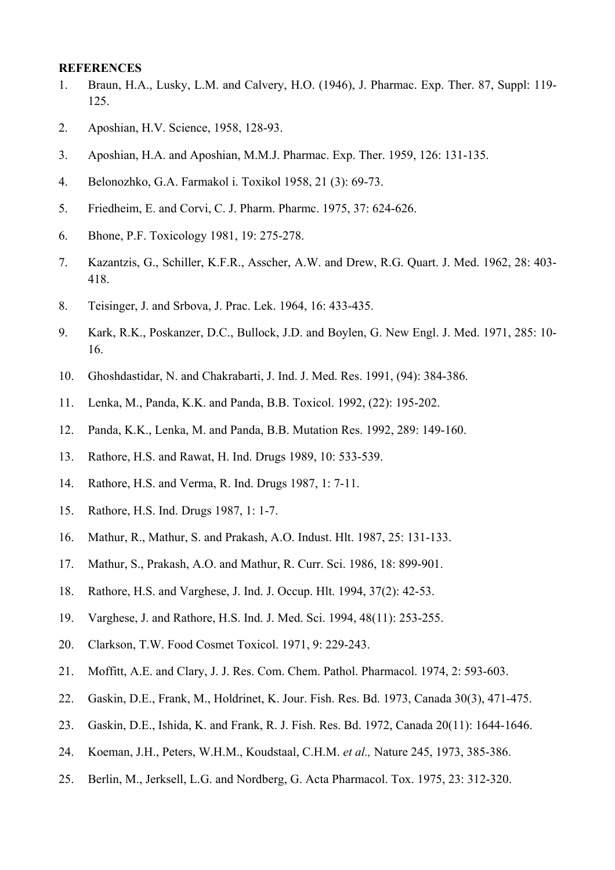#### **REFERENCES**

- 1. Braun, H.A., Lusky, L.M. and Calvery, H.O. (1946), J. Pharmac. Exp. Ther. 87, Suppl: 119- 125.
- 2. Aposhian, H.V. Science, 1958, 128-93.
- 3. Aposhian, H.A. and Aposhian, M.M.J. Pharmac. Exp. Ther. 1959, 126: 131-135.
- 4. Belonozhko, G.A. Farmakol i. Toxikol 1958, 21 (3): 69-73.
- 5. Friedheim, E. and Corvi, C. J. Pharm. Pharmc. 1975, 37: 624-626.
- 6. Bhone, P.F. Toxicology 1981, 19: 275-278.
- 7. Kazantzis, G., Schiller, K.F.R., Asscher, A.W. and Drew, R.G. Quart. J. Med. 1962, 28: 403- 418.
- 8. Teisinger, J. and Srbova, J. Prac. Lek. 1964, 16: 433-435.
- 9. Kark, R.K., Poskanzer, D.C., Bullock, J.D. and Boylen, G. New Engl. J. Med. 1971, 285: 10- 16.
- 10. Ghoshdastidar, N. and Chakrabarti, J. Ind. J. Med. Res. 1991, (94): 384-386.
- 11. Lenka, M., Panda, K.K. and Panda, B.B. Toxicol. 1992, (22): 195-202.
- 12. Panda, K.K., Lenka, M. and Panda, B.B. Mutation Res. 1992, 289: 149-160.
- 13. Rathore, H.S. and Rawat, H. Ind. Drugs 1989, 10: 533-539.
- 14. Rathore, H.S. and Verma, R. Ind. Drugs 1987, 1: 7-11.
- 15. Rathore, H.S. Ind. Drugs 1987, 1: 1-7.
- 16. Mathur, R., Mathur, S. and Prakash, A.O. Indust. Hlt. 1987, 25: 131-133.
- 17. Mathur, S., Prakash, A.O. and Mathur, R. Curr. Sci. 1986, 18: 899-901.
- 18. Rathore, H.S. and Varghese, J. Ind. J. Occup. Hlt. 1994, 37(2): 42-53.
- 19. Varghese, J. and Rathore, H.S. Ind. J. Med. Sci. 1994, 48(11): 253-255.
- 20. Clarkson, T.W. Food Cosmet Toxicol. 1971, 9: 229-243.
- 21. Moffitt, A.E. and Clary, J. J. Res. Com. Chem. Pathol. Pharmacol. 1974, 2: 593-603.
- 22. Gaskin, D.E., Frank, M., Holdrinet, K. Jour. Fish. Res. Bd. 1973, Canada 30(3), 471-475.
- 23. Gaskin, D.E., Ishida, K. and Frank, R. J. Fish. Res. Bd. 1972, Canada 20(11): 1644-1646.
- 24. Koeman, J.H., Peters, W.H.M., Koudstaal, C.H.M. *et al.,* Nature 245, 1973, 385-386.
- 25. Berlin, M., Jerksell, L.G. and Nordberg, G. Acta Pharmacol. Tox. 1975, 23: 312-320.